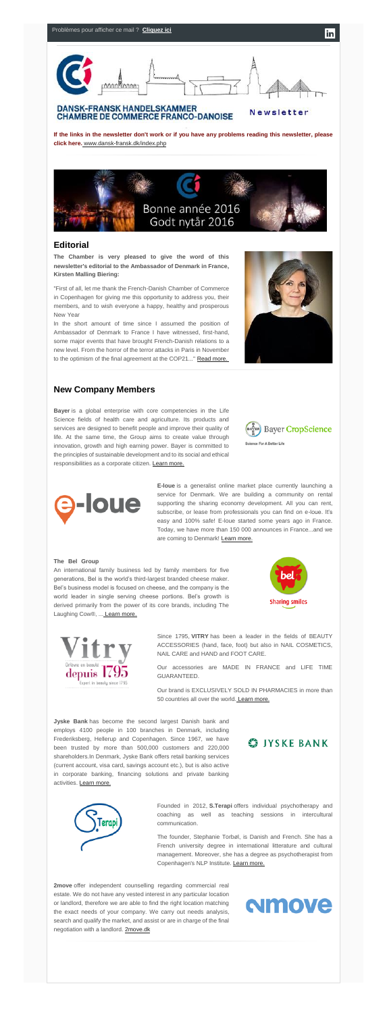

## **DANSK-FRANSK HANDELSKAMMER CHAMBRE DE COMMERCE FRANCO-DANOISE**

Newsletter

**If the links in the newsletter don't work or if you have any problems reading this newsletter, please click her[e.](http://www.dansk-fransk.dk/index.php?id=39103)** [www.dansk-fransk.dk/index.php](http://www.dansk-fransk.dk/index.php?id=39103)



"First of all, let me thank the French-Danish Chamber of Commerce in Copenhagen for giving me this opportunity to address you, their members, and to wish everyone a happy, healthy and prosperous New Year

## **Editorial**

**The Chamber is very pleased to give the word of this newsletter's editorial to the Ambassador of Denmark in France, Kirsten Malling Biering:**

> **E-loue** is a generalist online market place currently launching a service for Denmark. We are building a community on rental supporting the sharing economy development. All you can rent, subscribe, or lease from professionals you can find on e-loue. It's easy and 100% safe! E-loue started some years ago in France. Today, we have more than 150 000 announces in France...and we are coming to Denmark! [Learn more.](http://www.dansk-fransk.dk/index.php?id=8518)

In the short amount of time since I assumed the position of Ambassador of Denmark to France I have witnessed, first-hand, some major events that have brought French-Danish relations to a new level. From the horror of the terror attacks in Paris in November to the optimism of the final agreement at the COP21..." [Read more.](http://www.dansk-fransk.dk/index.php?id=8507)



# **New Company Members**

Bel's business model is focused on cheese, and the company is the world leader in single serving cheese portions. Bel's growth is derived primarily from the power of its core brands, including The Laughing Cow<sup>®</sup>, ... [Learn more.](http://www.dansk-fransk.dk/index.php?id=8517)



**Bayer** is a global enterprise with core competencies in the Life Science fields of health care and agriculture. Its products and services are designed to benefit people and improve their quality of life. At the same time, the Group aims to create value through innovation, growth and high earning power. Bayer is committed to the principles of sustainable development and to its social and ethical responsibilities as a corporate citizen. [Learn more.](http://www.dansk-fransk.dk/index.php?id=8520)





#### **The Bel Group**…………………………………………………………

An international family business led by family members for five generations, Bel is the world's third-largest branded cheese maker.



Since 1795, **VITRY** has been a leader in the fields of BEAUTY ACCESSORIES (hand, face, foot) but also in NAIL COSMETICS, NAIL CARE and HAND and FOOT CARE.

Our accessories are MADE IN FRANCE and LIFE TIME GUARANTEED.

Our brand is EXCLUSIVELY SOLD IN PHARMACIES in more than 50 countries all over the world. [Learn more.](http://www.vitry.com/?&id_lang=1)

**Jyske Bank** has become the second largest Danish bank and employs 4100 people in 100 branches in Denmark, including Frederiksberg, Hellerup and Copenhagen. Since 1967, we have been trusted by more than 500,000 customers and 220,000 shareholders.In Denmark, Jyske Bank offers retail banking services (current account, visa card, savings account etc.), but is also active in corporate banking, financing solutions and private banking activities. [Learn more.](http://www.dansk-fransk.dk/index.php?id=8516)

# **S**IYSKE BANK



Founded in 2012, **S.Terapi** offers individual psychotherapy and coaching as well as teaching sessions in intercultural communication.

The founder, Stephanie Torbøl, is Danish and French. She has a French university degree in international litterature and cultural management. Moreover, she has a degree as psychotherapist from Copenhagen's NLP Institute. [Learn more.](http://www.dansk-fransk.dk/index.php?id=8512)

**2move** offer independent counselling regarding commercial real estate. We do not have any vested interest in any particular location or landlord, therefore we are able to find the right location matching the exact needs of your company. We carry out needs analysis, search and qualify the market, and assist or are in charge of the final negotiation with a landlord. [2move.dk](http://2move.dk/)

# **Amove**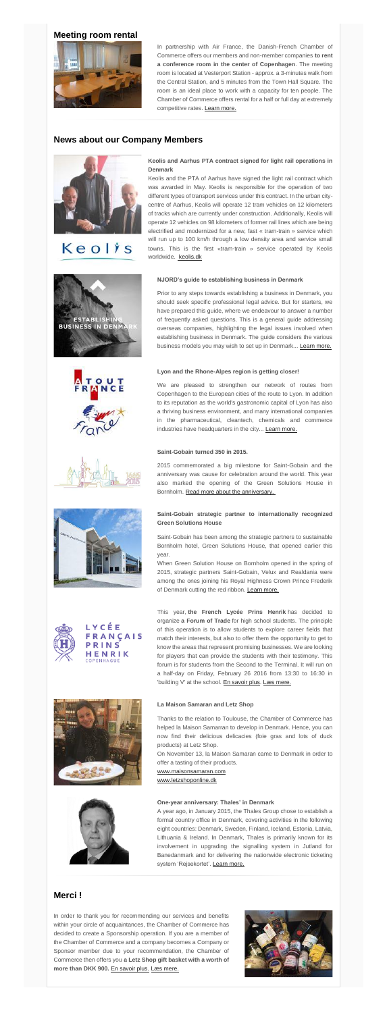# **Meeting room rental**

In partnership with Air France, the Danish-French Chamber of Commerce offers our members and non-member companies **to rent a conference room in the center of Copenhagen**. The meeting room is located at Vesterport Station - approx. a 3-minutes walk from the Central Station, and 5 minutes from the Town Hall Square. The room is an ideal place to work with a capacity for ten people. The Chamber of Commerce offers rental for a half or full day at extremely competitive rates. [Learn more.](http://www.dansk-fransk.dk/services-aux-entreprises/location-salle-de-reunion/)



# **News about our Company Members**



# Keolis



## **Keolis and Aarhus PTA contract signed for light rail operations in Denmark**………………………………………………………………………

Prior to any steps towards establishing a business in Denmark, you should seek specific professional legal advice. But for starters, we have prepared this guide, where we endeavour to answer a number of frequently asked questions. This is a general guide addressing overseas companies, highlighting the legal issues involved when establishing business in Denmark. The guide considers the various business models you may wish to set up in Denmark... [Learn more.](http://www.dansk-fransk.dk/index.php?id=8508)







We are pleased to strengthen our network of routes from Copenhagen to the European cities of the route to Lyon. In addition to its reputation as the world's gastronomic capital of Lyon has also a thriving business environment, and many international companies in the pharmaceutical, cleantech, chemicals and commerce industries have headquarters in the city... [Learn more.](http://www.dansk-fransk.dk/index.php?id=8519)

Keolis and the PTA of Aarhus have signed the light rail contract which was awarded in May. Keolis is responsible for the operation of two different types of transport services under this contract. In the urban citycentre of Aarhus, Keolis will operate 12 tram vehicles on 12 kilometers of tracks which are currently under construction. Additionally, Keolis will operate 12 vehicles on 98 kilometers of former rail lines which are being electrified and modernized for a new, fast « tram-train » service which will run up to 100 km/h through a low density area and service small towns. This is the first «tram-train » service operated by Keolis worldwide. [keolis.dk](http://keolis.dk/)

2015 commemorated a big milestone for Saint-Gobain and the anniversary was cause for celebration around the world. This year also marked the opening of the Green Solutions House in Bornholm. [Read more about the anniversary.](http://www.dansk-fransk.dk/index.php?id=8514)

## **NJORD's guide to establishing business in Denmark**

This year, **the French Lycée Prins Henrik** has decided to organize **a Forum of Trade** for high school students. The principle of this operation is to allow students to explore career fields that match their interests, but also to offer them the opportunity to get to know the areas that represent promising businesses. We are looking for players that can provide the students with their testimony. This forum is for students from the Second to the Terminal. It will run on a half-day on Friday, February 26 2016 from 13:30 to 16:30 in 'building V' at the school. [En savoir plus.](http://www.dansk-fransk.dk/index.php?id=8509) [Læs mere.](http://www.dansk-fransk.dk/index.php?id=8510)





Thanks to the relation to Toulouse, the Chamber of Commerce has helped la Maison Samarran to develop in Denmark. Hence, you can now find their delicious delicacies (foie gras and lots of duck products) at Letz Shop.

## **Lyon and the Rhone-Alpes region is getting closer!**

On November 13, la Maison Samaran came to Denmark in order to offer a tasting of their products.

A year ago, in January 2015, the Thales Group chose to establish a formal country office in Denmark, covering activities in the following eight countries: Denmark, Sweden, Finland, Iceland, Estonia, Latvia, Lithuania & Ireland. In Denmark, Thales is primarily known for its involvement in upgrading the signalling system in Jutland for Banedanmark and for delivering the nationwide electronic ticketing system 'Rejsekortet'. [Learn more.](http://www.dansk-fransk.dk/index.php?id=8513)

#### **Saint-Gobain turned 350 in 2015.**

## **Saint-Gobain strategic partner to internationally recognized Green Solutions House**

Saint-Gobain has been among the strategic partners to sustainable Bornholm hotel, Green Solutions House, that opened earlier this year.

When Green Solution House on Bornholm opened in the spring of 2015, strategic partners Saint-Gobain, Velux and Realdania were among the ones joining his Royal Highness Crown Prince Frederik





of Denmark cutting the red ribbon. [Learn more.](http://www.dansk-fransk.dk/index.php?id=8515)

LYCÉE FRANÇAIS PRINS HENRIK

#### **La Maison Samaran and Letz Shop**

[www.maisonsamaran.com](http://www.maisonsamaran.com/)

[www.letzshoponline.dk](http://www.letzshoponline.dk/)

#### **One-year anniversary: Thales' in Denmark**…………………………

## **Merci !**

In order to thank you for recommending our services and benefits within your circle of acquaintances, the Chamber of Commerce has decided to create a Sponsorship operation. If you are a member of the Chamber of Commerce and a company becomes a Company or Sponsor member due to your recommendation, the Chamber of Commerce then offers you **a Letz Shop gift basket with a worth of more than DKK 900.** [En savoir plus.](http://www.dansk-fransk.dk/adhesion/parrainage/) [Læs mere.](http://www.dansk-fransk.dk/dk/indmeldelse/parrainage/)

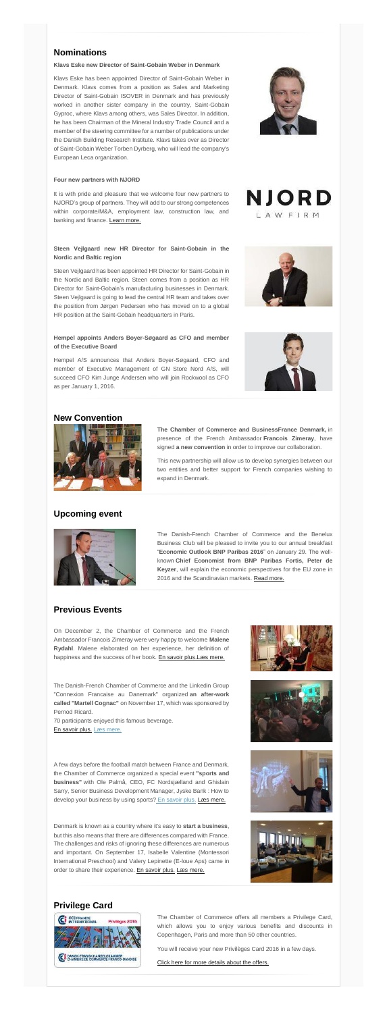# **Nominations**

#### **Klavs Eske new Director of Saint-Gobain Weber in Denmark**

Klavs Eske has been appointed Director of Saint-Gobain Weber in Denmark. Klavs comes from a position as Sales and Marketing Director of Saint-Gobain ISOVER in Denmark and has previously worked in another sister company in the country, Saint-Gobain Gyproc, where Klavs among others, was Sales Director. In addition, he has been Chairman of the Mineral Industry Trade Council and a member of the steering committee for a number of publications under the Danish Building Research Institute. Klavs takes over as Director of Saint-Gobain Weber Torben Dyrberg, who will lead the company's European Leca organization.

#### **Four new partners with NJORD**

It is with pride and pleasure that we welcome four new partners to NJORD's group of partners. They will add to our strong competences within corporate/M&A, employment law, construction law, and banking and finance. [Learn more.](http://www.dansk-fransk.dk/index.php?id=8511)

## **Steen Vejlgaard new HR Director for Saint-Gobain in the Nordic and Baltic region**

The Danish-French Chamber of Commerce and the Benelux Business Club will be pleased to invite you to our annual breakfast "**Economic Outlook BNP Paribas 2016**" on January 29. The wellknown **Chief Economist from BNP Paribas Fortis, Peter de Keyzer**, will explain the economic perspectives for the EU zone in 2016 and the Scandinavian markets. [Read more.](http://www.dansk-fransk.dk/actualite/evenements/vue-detail/d/economic-outlook-2016/)

On December 2, the Chamber of Commerce and the French Ambassador Francois Zimeray were very happy to welcome **Malene Rydahl**. Malene elaborated on her experience, her definition of happiness and the success of her book. [En savoir plus.](http://www.dansk-fransk.dk/index.php?id=8450) [Læs mere.](http://www.dansk-fransk.dk/index.php?id=8450&L=15)

Steen Vejlgaard has been appointed HR Director for Saint-Gobain in the Nordic and Baltic region. Steen comes from a position as HR Director for Saint-Gobain's manufacturing businesses in Denmark. Steen Vejlgaard is going to lead the central HR team and takes over the position from Jørgen Pedersen who has moved on to a global HR position at the Saint-Gobain headquarters in Paris.

## **Hempel appoints Anders Boyer-Søgaard as CFO and member of the Executive Board**

70 participants enjoyed this famous beverage. [En savoir plus.](http://www.dansk-fransk.dk/index.php?id=8451) [Læs mere.](http://www.dansk-fransk.dk/index.php?id=8451&L=15)

A few days before the football match between France and Denmark, the Chamber of Commerce organized a special event **"sports and business"** with Ole Palmå, CEO, FC Nordsjælland and Ghislain Sarry, Senior Business Development Manager, Jyske Bank : How to develop your business by using sports? [En savoir plus.](http://www.dansk-fransk.dk/index.php?id=8454) [Læs mere.](http://www.dansk-fransk.dk/index.php?id=8454&L=15)

Hempel A/S announces that Anders Boyer-Søgaard, CFO and member of Executive Management of GN Store Nord A/S, will succeed CFO Kim Junge Andersen who will join Rockwool as CFO as per January 1, 2016.



NJORD LAWFIRM





Denmark is known as a country where it's easy to **start a business**, but this also means that there are differences compared with France. The challenges and risks of ignoring these differences are numerous and important. On September 17, Isabelle Valentine (Montessori International Preschool) and Valery Lepinette (E-loue Aps) came in order to share their experience. [En savoir plus.](http://www.dansk-fransk.dk/index.php?id=8453) [Læs mere.](http://www.dansk-fransk.dk/index.php?id=8453&L=15)









## **New Convention**



**The Chamber of Commerce and BusinessFrance Denmark,** in presence of the French Ambassador **Francois Zimeray**, have signed **a new convention** in order to improve our collaboration.

This new partnership will allow us to develop synergies between our two entities and better support for French companies wishing to expand in Denmark.

# **Upcoming event**



# **Previous Events**

The Danish-French Chamber of Commerce and the Linkedin Group "Connexion Francaise au Danemark" organized **an after-work called "Martell Cognac"** on November 17, which was sponsored by Pernod Ricard. ……………………………………………………………

# **Privilege Card**



The Chamber of Commerce offers all members a Privilege Card, which allows you to enjoy various benefits and discounts in Copenhagen, Paris and more than 50 other countries.

You will receive your new Privilèges Card 2016 in a few days.

[Click here for more details about the offers.](http://admin.uccife.org/?id=26843)